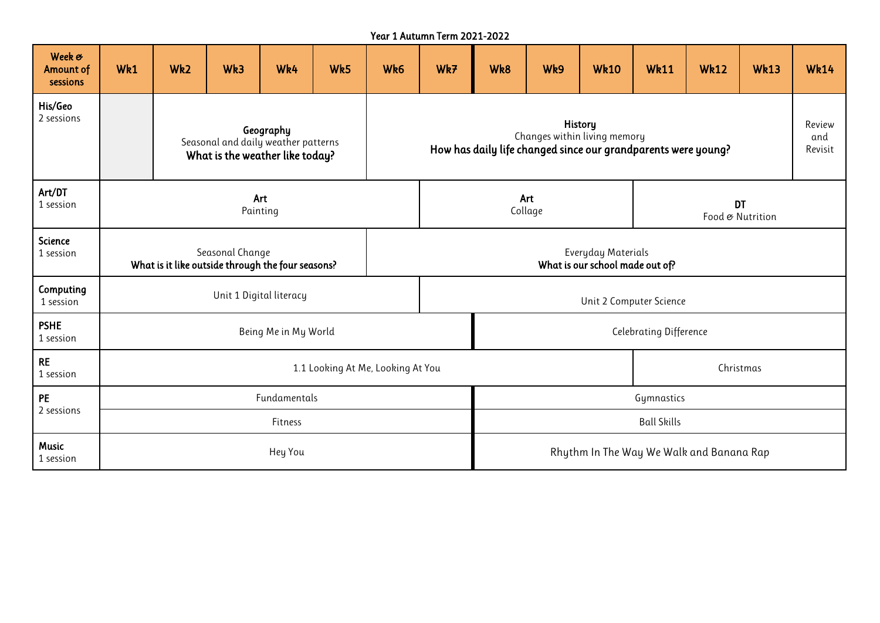|                                        | Year 1 Autumn Term 2021-2022                                                        |                 |     |     |     |                                                                                                          |                                                       |                                          |                    |             |                               |             |             |                          |
|----------------------------------------|-------------------------------------------------------------------------------------|-----------------|-----|-----|-----|----------------------------------------------------------------------------------------------------------|-------------------------------------------------------|------------------------------------------|--------------------|-------------|-------------------------------|-------------|-------------|--------------------------|
| Week &<br><b>Amount of</b><br>sessions | Wk1                                                                                 | Wk <sub>2</sub> | Wk3 | Wk4 | Wk5 | Wk6                                                                                                      | Wk7                                                   | Wk8                                      | Wk9                | <b>Wk10</b> | <b>Wk11</b>                   | <b>Wk12</b> | <b>Wk13</b> | <b>Wk14</b>              |
| His/Geo<br>2 sessions                  | Geography<br>Seasonal and daily weather patterns<br>What is the weather like today? |                 |     |     |     | History<br>Changes within living memory<br>How has daily life changed since our grandparents were young? |                                                       |                                          |                    |             |                               |             |             | Review<br>and<br>Revisit |
| Art/DT<br>1 session                    | Art<br>Painting                                                                     |                 |     |     |     |                                                                                                          |                                                       | Collage                                  | Art                |             | <b>DT</b><br>Food & Nutrition |             |             |                          |
| <b>Science</b><br>1 session            | Seasonal Change<br>What is it like outside through the four seasons?                |                 |     |     |     |                                                                                                          | Everyday Materials<br>What is our school made out of? |                                          |                    |             |                               |             |             |                          |
| Computing<br>1 session                 | Unit 1 Digital literacy                                                             |                 |     |     |     |                                                                                                          |                                                       | Unit 2 Computer Science                  |                    |             |                               |             |             |                          |
| <b>PSHE</b><br>1 session               | Being Me in My World                                                                |                 |     |     |     |                                                                                                          |                                                       | <b>Celebrating Difference</b>            |                    |             |                               |             |             |                          |
| <b>RE</b><br>1 session                 | 1.1 Looking At Me, Looking At You                                                   |                 |     |     |     |                                                                                                          |                                                       | Christmas                                |                    |             |                               |             |             |                          |
| <b>PE</b>                              | Fundamentals                                                                        |                 |     |     |     |                                                                                                          |                                                       |                                          | Gymnastics         |             |                               |             |             |                          |
| 2 sessions                             | Fitness                                                                             |                 |     |     |     |                                                                                                          |                                                       |                                          | <b>Ball Skills</b> |             |                               |             |             |                          |
| <b>Music</b><br>1 session              | Hey You                                                                             |                 |     |     |     |                                                                                                          |                                                       | Rhythm In The Way We Walk and Banana Rap |                    |             |                               |             |             |                          |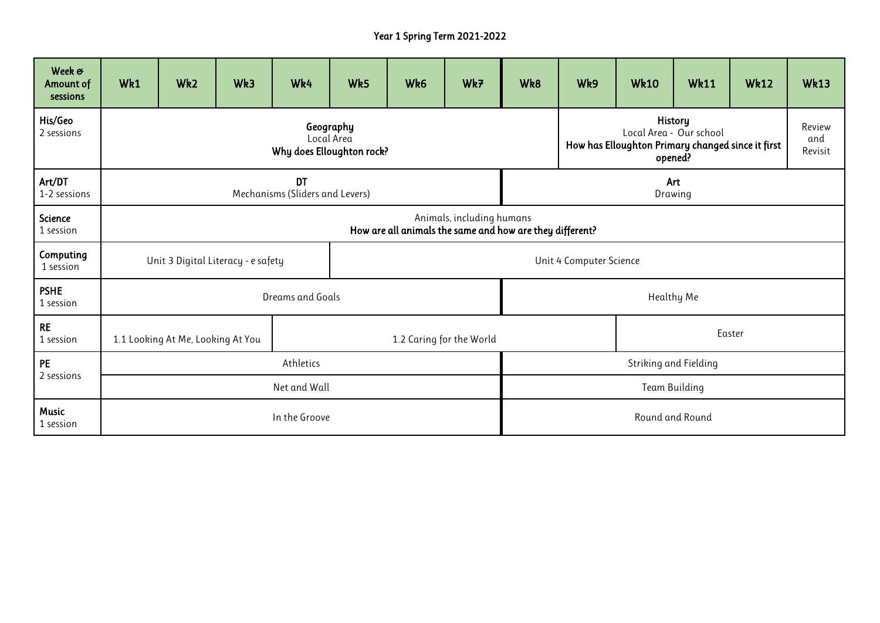## Year 1 Spring Term 2021-2022

| Week &<br>Amount of<br>sessions | Wk1                                                            | Wk <sub>2</sub>                                                                       | Wk3 | Wk4 | Wk5 | Wk6 | Wk7 | Wk8                     | Wk9                                                                                                                                   | <b>Wk10</b> | <b>Wk11</b> | <b>Wk12</b> | <b>Wk13</b> |  |
|---------------------------------|----------------------------------------------------------------|---------------------------------------------------------------------------------------|-----|-----|-----|-----|-----|-------------------------|---------------------------------------------------------------------------------------------------------------------------------------|-------------|-------------|-------------|-------------|--|
| His/Geo<br>2 sessions           | Geography<br>Local Area<br>Why does Elloughton rock?           |                                                                                       |     |     |     |     |     |                         | <b>History</b><br>Review<br>Local Area - Our school<br>and<br>How has Elloughton Primary changed since it first<br>Revisit<br>opened? |             |             |             |             |  |
| Art/DT<br>1-2 sessions          | <b>DT</b><br>Art<br>Mechanisms (Sliders and Levers)<br>Drawing |                                                                                       |     |     |     |     |     |                         |                                                                                                                                       |             |             |             |             |  |
| Science<br>1 session            |                                                                | Animals, including humans<br>How are all animals the same and how are they different? |     |     |     |     |     |                         |                                                                                                                                       |             |             |             |             |  |
| Computing<br>1 session          | Unit 3 Digital Literacy - e safety                             |                                                                                       |     |     |     |     |     | Unit 4 Computer Science |                                                                                                                                       |             |             |             |             |  |
| <b>PSHE</b><br>1 session        | Dreams and Goals                                               |                                                                                       |     |     |     |     |     | Healthy Me              |                                                                                                                                       |             |             |             |             |  |
| <b>RE</b><br>1 session          | 1.1 Looking At Me, Looking At You<br>1.2 Caring for the World  |                                                                                       |     |     |     |     |     | Easter                  |                                                                                                                                       |             |             |             |             |  |
| <b>PE</b>                       | Athletics                                                      |                                                                                       |     |     |     |     |     | Striking and Fielding   |                                                                                                                                       |             |             |             |             |  |
| 2 sessions                      | Net and Wall                                                   |                                                                                       |     |     |     |     |     | Team Building           |                                                                                                                                       |             |             |             |             |  |
| Music<br>1 session              | In the Groove<br>Round and Round                               |                                                                                       |     |     |     |     |     |                         |                                                                                                                                       |             |             |             |             |  |